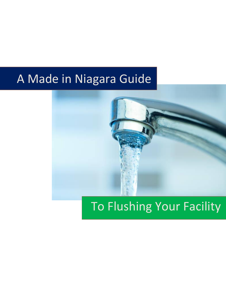# A Made in Niagara Guide



# To Flushing Your Facility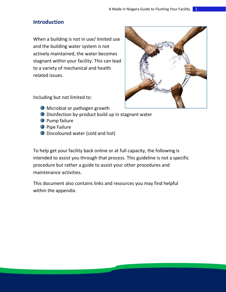## <span id="page-1-0"></span>**Introduction**

When a building is not in use/ limited use and the building water system is not actively maintained, the water becomes stagnant within your facility. This can lead to a variety of mechanical and health related issues.



Including but not limited to:

- **Microbial or pathogen growth**
- **Disinfection by-product build up in stagnant water**
- **Pump failure**
- **Pipe Failure**
- **Discoloured water (cold and hot)**

To help get your facility back online or at full capacity, the following is intended to assist you through that process. This guideline is not a specific procedure but rather a guide to assist your other procedures and maintenance activities.

This document also contains links and resources you may find helpful within the appendix.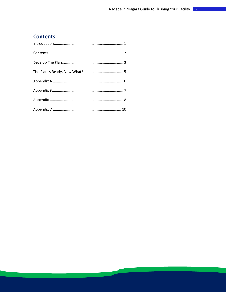## <span id="page-2-0"></span>**Contents**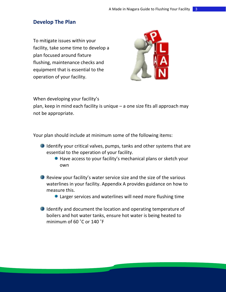## <span id="page-3-0"></span>**Develop The Plan**

To mitigate issues within your facility, take some time to develop a plan focused around fixture flushing, maintenance checks and equipment that is essential to the operation of your facility.



When developing your facility's

plan, keep in mind each facility is unique – a one size fits all approach may not be appropriate.

Your plan should include at minimum some of the following items:

- I Identify your critical valves, pumps, tanks and other systems that are essential to the operation of your facility.
	- Have access to your facility's mechanical plans or sketch your own
- **Review your facility's water service size and the size of the various** waterlines in your facility. Appendix A provides guidance on how to measure this.
	- Larger services and waterlines will need more flushing time
- I Identify and document the location and operating temperature of boilers and hot water tanks, ensure hot water is being heated to minimum of 60 ˚C or 140 ˚F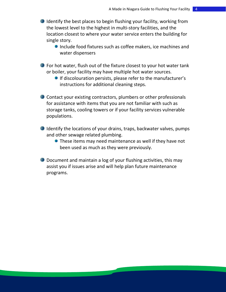- I Identify the best places to begin flushing your facility, working from the lowest level to the highest in multi-story facilities, and the location closest to where your water service enters the building for single story.
	- **Include food fixtures such as coffee makers, ice machines and** water dispensers
- **•** For hot water, flush out of the fixture closest to your hot water tank or boiler, your facility may have multiple hot water sources.
	- **If discolouration persists, please refer to the manufacturer's** instructions for additional cleaning steps.
- **Contact your existing contractors, plumbers or other professionals** for assistance with items that you are not familiar with such as storage tanks, cooling towers or if your facility services vulnerable populations.
- I Identify the locations of your drains, traps, backwater valves, pumps and other sewage related plumbing.
	- **•** These items may need maintenance as well if they have not been used as much as they were previously.
- **D** Document and maintain a log of your flushing activities, this may assist you if issues arise and will help plan future maintenance programs.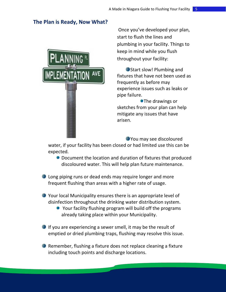## <span id="page-5-0"></span>**The Plan is Ready, Now What?**



Once you've developed your plan, start to flush the lines and plumbing in your facility. Things to keep in mind while you flush throughout your facility:

Start slow! Plumbing and fixtures that have not been used as frequently as before may experience issues such as leaks or pipe failure.

**•The drawings or** sketches from your plan can help mitigate any issues that have arisen.

You may see discoloured

water, if your facility has been closed or had limited use this can be expected.

- **Document the location and duration of fixtures that produced** discoloured water. This will help plan future maintenance.
- **Long piping runs or dead ends may require longer and more** frequent flushing than areas with a higher rate of usage.
- Your local Municipality ensures there is an appropriate level of disinfection throughout the drinking water distribution system.
	- Your facility flushing program will build off the programs already taking place within your Municipality.
- If you are experiencing a sewer smell, it may be the result of emptied or dried plumbing traps, flushing may resolve this issue.
- **Remember, flushing a fixture does not replace cleaning a fixture** including touch points and discharge locations.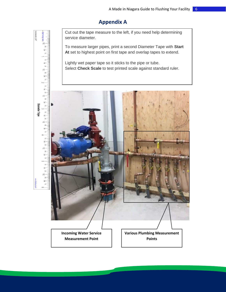## **Appendix A**

<span id="page-6-0"></span>Cut out the tape measure to the left, if you need help determining service diameter.

To measure larger pipes, print a second Diameter Tape with **Start At** set to highest point on first tape and overlap tapes to extend.

Lightly wet paper tape so it sticks to the pipe or tube. Select **Check Scale** to test printed scale against standard ruler.

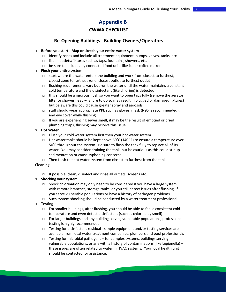## **Appendix B**

#### **CWWA CHECKLIST**

#### <span id="page-7-0"></span>**Re-Opening Buildings - Building Owners/Operators**

#### □ **Before you start - Map or sketch your entire water system**

- $\Box$  Identify zones and include all treatment equipment, pumps, valves, tanks, etc.
- □ list all outlets/fixtures such as taps, fountains, showers, etc.
- □ be sure to include any connected food units like ice or coffee makers

#### □ **Flush your entire system**

- $\Box$  start where the water enters the building and work from closest to furthest, closest zone to furthest zone, closest outlet to furthest outlet
- $\Box$  flushing requirements vary but run the water until the water maintains a constant cold temperature and the disinfectant (like chlorine) is detected
- $\Box$  this should be a rigorous flush so you want to open taps fully (remove the aerator filter or shower head – failure to do so may result in plugged or damaged fixtures) but be aware this could cause greater spray and aerosols
- □ staff should wear appropriate PPE such as gloves, mask (N95 is recommended), and eye cover while flushing
- □ If you are experiencing sewer smell, it may be the result of emptied or dried plumbing traps, flushing may resolve this issue

#### □ **Hot Water**

- $\Box$  Flush your cold water system first then your hot water system
- □ Hot water tanks should be kept above 60 $^{\circ}$ C (140  $^{\circ}$ F) to ensure a temperature over 50˚C throughout the system. Be sure to flush the tank fully to replace all of its water. You may consider draining the tank, but be cautious as this could stir up sedimentation or cause syphoning concerns
- □ Then flush the hot water system from closest to furthest from the tank

#### **Cleaning**

□ If possible, clean, disinfect and rinse all outlets, screens etc.

#### □ **Shocking your system**

- $\Box$  Shock chlorination may only need to be considered if you have a large system with remote branches, storage tanks, or you still detect issues after flushing, if you serve vulnerable populations or have a history of pathogen problems
- □ Such system shocking should be conducted by a water treatment professional

#### □ **Testing**

- □ For smaller buildings, after flushing, you should be able to feel a consistent cold temperature and even detect disinfectant (such as chlorine by smell)
- □ For larger buildings and any building serving vulnerable populations, professional testing is highly recommended
- □ Testing for disinfectant residual simple equipment and/or testing services are available from local water treatment companies, plumbers and pool professionals
- $\Box$  Testing for microbial pathogens for complex systems, buildings serving vulnerable populations, or any with a history of contaminations (like Legionella) – these issues are often related to water in HVAC systems. Your local health unit should be contacted for assistance.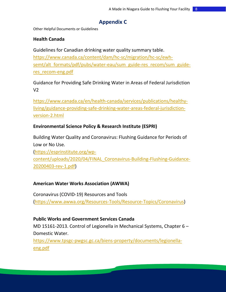## **Appendix C**

<span id="page-8-0"></span>Other Helpful Documents or Guidelines

## **Health Canada**

Guidelines for Canadian drinking water quality summary table.

[https://www.canada.ca/content/dam/hc-sc/migration/hc-sc/ewh](https://www.canada.ca/content/dam/hc-sc/migration/hc-sc/ewh-semt/alt_formats/pdf/pubs/water-eau/sum_guide-res_recom/sum_guide-res_recom-eng.pdf)semt/alt formats/pdf/pubs/water-eau/sum\_guide-res\_recom/sum\_guide[res\\_recom-eng.pdf](https://www.canada.ca/content/dam/hc-sc/migration/hc-sc/ewh-semt/alt_formats/pdf/pubs/water-eau/sum_guide-res_recom/sum_guide-res_recom-eng.pdf)

Guidance for Providing Safe Drinking Water in Areas of Federal Jurisdiction V2

[https://www.canada.ca/en/health-canada/services/publications/healthy](https://www.canada.ca/en/health-canada/services/publications/healthy-living/guidance-providing-safe-drinking-water-areas-federal-jurisdiction-version-2.html)[living/guidance-providing-safe-drinking-water-areas-federal-jurisdiction](https://www.canada.ca/en/health-canada/services/publications/healthy-living/guidance-providing-safe-drinking-water-areas-federal-jurisdiction-version-2.html)[version-2.html](https://www.canada.ca/en/health-canada/services/publications/healthy-living/guidance-providing-safe-drinking-water-areas-federal-jurisdiction-version-2.html)

## **Environmental Science Policy & Research Institute (ESPRI)**

Building Water Quality and Coronavirus: Flushing Guidance for Periods of Low or No Use. [\(https://esprinstitute.org/wp-](https://esprinstitute.org/wp-content/uploads/2020/04/FINAL_Coronavirus-Building-Flushing-Guidance-20200403-rev-1.pdf)

[content/uploads/2020/04/FINAL\\_Coronavirus-Building-Flushing-Guidance-](https://esprinstitute.org/wp-content/uploads/2020/04/FINAL_Coronavirus-Building-Flushing-Guidance-20200403-rev-1.pdf)[20200403-rev-1.pdf\)](https://esprinstitute.org/wp-content/uploads/2020/04/FINAL_Coronavirus-Building-Flushing-Guidance-20200403-rev-1.pdf)

## **American Water Works Association (AWWA)**

Coronavirus (COVID-19) Resources and Tools [\(https://www.awwa.org/Resources-Tools/Resource-Topics/Coronavirus\)](https://www.awwa.org/Resources-Tools/Resource-Topics/Coronavirus)

## **Public Works and Government Services Canada**

MD 15161-2013. Control of Legionella in Mechanical Systems, Chapter 6 – Domestic Water.

[https://www.tpsgc-pwgsc.gc.ca/biens-property/documents/legionella](https://www.tpsgc-pwgsc.gc.ca/biens-property/documents/legionella-eng.pdf)[eng.pdf](https://www.tpsgc-pwgsc.gc.ca/biens-property/documents/legionella-eng.pdf)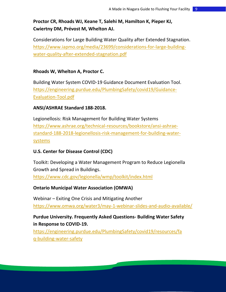## **Proctor CR, Rhoads WJ, Keane T, Salehi M, Hamilton K, Pieper KJ, Cwiertny DM, Prévost M, Whelton AJ.**

Considerations for Large Building Water Quality after Extended Stagnation. [https://www.iapmo.org/media/23699/considerations-for-large-building](https://www.iapmo.org/media/23699/considerations-for-large-building-water-quality-after-extended-stagnation.pdf)[water-quality-after-extended-stagnation.pdf](https://www.iapmo.org/media/23699/considerations-for-large-building-water-quality-after-extended-stagnation.pdf)

#### **Rhoads W, Whelton A, Proctor C.**

Building Water System COVID-19 Guidance Document Evaluation Tool. [https://engineering.purdue.edu/PlumbingSafety/covid19/Guidance-](https://engineering.purdue.edu/PlumbingSafety/covid19/Guidance-Evaluation-Tool.pdf)[Evaluation-Tool.pdf](https://engineering.purdue.edu/PlumbingSafety/covid19/Guidance-Evaluation-Tool.pdf)

#### **ANSI/ASHRAE Standard 188-2018.**

Legionellosis: Risk Management for Building Water Systems [https://www.ashrae.org/technical-resources/bookstore/ansi-ashrae](https://www.ashrae.org/technical-resources/bookstore/ansi-ashrae-standard-188-2018-legionellosis-risk-management-for-building-water-systems)[standard-188-2018-legionellosis-risk-management-for-building-water](https://www.ashrae.org/technical-resources/bookstore/ansi-ashrae-standard-188-2018-legionellosis-risk-management-for-building-water-systems)[systems](https://www.ashrae.org/technical-resources/bookstore/ansi-ashrae-standard-188-2018-legionellosis-risk-management-for-building-water-systems)

### **U.S. Center for Disease Control (CDC)**

Toolkit: Developing a Water Management Program to Reduce Legionella Growth and Spread in Buildings. <https://www.cdc.gov/legionella/wmp/toolkit/index.html>

### **Ontario Municipal Water Association (OMWA)**

Webinar – Exiting One Crisis and Mitigating Another <https://www.omwa.org/water3/may-1-webinar-slides-and-audio-available/>

## **Purdue University. Frequently Asked Questions- Building Water Safety in Response to COVID-19.**

[https://engineering.purdue.edu/PlumbingSafety/covid19/resources/fa](https://engineering.purdue.edu/PlumbingSafety/covid19/resources/faq-building-water-safety) [q-building-water-safety](https://engineering.purdue.edu/PlumbingSafety/covid19/resources/faq-building-water-safety)